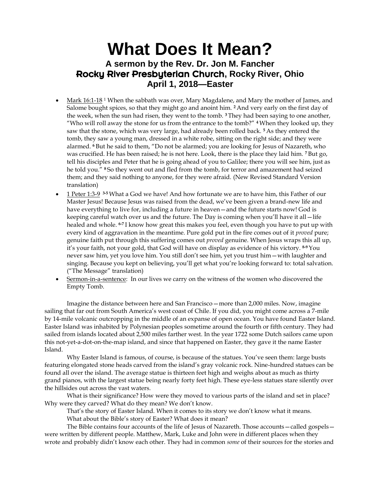## **What Does It Mean? A sermon by the Rev. Dr. Jon M. Fancher** Rocky River Presbyterian Church**, Rocky River, Ohio April 1, 2018—Easter**

- Mark 16:1-18<sup>1</sup> When the sabbath was over, Mary Magdalene, and Mary the mother of James, and Salome bought spices, so that they might go and anoint him. **<sup>2</sup>** And very early on the first day of the week, when the sun had risen, they went to the tomb. **<sup>3</sup>** They had been saying to one another, "Who will roll away the stone for us from the entrance to the tomb?" **<sup>4</sup>** When they looked up, they saw that the stone, which was very large, had already been rolled back. **<sup>5</sup>** As they entered the tomb, they saw a young man, dressed in a white robe, sitting on the right side; and they were alarmed. **<sup>6</sup>** But he said to them, "Do not be alarmed; you are looking for Jesus of Nazareth, who was crucified. He has been raised; he is not here. Look, there is the place they laid him. **<sup>7</sup>** But go, tell his disciples and Peter that he is going ahead of you to Galilee; there you will see him, just as he told you." **<sup>8</sup>** So they went out and fled from the tomb, for terror and amazement had seized them; and they said nothing to anyone, for they were afraid. (New Revised Standard Version translation)
- **1** Peter 1:3-9 <sup>3-5</sup> What a God we have! And how fortunate we are to have him, this Father of our Master Jesus! Because Jesus was raised from the dead, we've been given a brand-new life and have everything to live for, including a future in heaven—and the future starts now! God is keeping careful watch over us and the future. The Day is coming when you'll have it all—life healed and whole. **6-7** I know how great this makes you feel, even though you have to put up with every kind of aggravation in the meantime. Pure gold put in the fire comes out of it *proved* pure; genuine faith put through this suffering comes out *proved* genuine. When Jesus wraps this all up, it's your faith, not your gold, that God will have on display as evidence of his victory. **8-9** You never saw him, yet you love him. You still don't see him, yet you trust him—with laughter and singing. Because you kept on believing, you'll get what you're looking forward to: total salvation. ("The Message" translation)
- Sermon-in-a-sentence: In our lives we carry on the witness of the women who discovered the Empty Tomb.

Imagine the distance between here and San Francisco—more than 2,000 miles. Now, imagine sailing that far out from South America's west coast of Chile. If you did, you might come across a 7-mile by 14-mile volcanic outcropping in the middle of an expanse of open ocean. You have found Easter Island. Easter Island was inhabited by Polynesian peoples sometime around the fourth or fifth century. They had sailed from islands located about 2,500 miles farther west. In the year 1722 some Dutch sailors came upon this not-yet-a-dot-on-the-map island, and since that happened on Easter, they gave it the name Easter Island.

Why Easter Island is famous, of course, is because of the statues. You've seen them: large busts featuring elongated stone heads carved from the island's gray volcanic rock. Nine-hundred statues can be found all over the island. The average statue is thirteen feet high and weighs about as much as thirty grand pianos, with the largest statue being nearly forty feet high. These eye-less statues stare silently over the hillsides out across the vast waters.

What is their significance? How were they moved to various parts of the island and set in place? Why were they carved? What do they mean? We don't know.

That's the story of Easter Island. When it comes to its story we don't know what it means.

What about the Bible's story of Easter? What does it mean?

The Bible contains four accounts of the life of Jesus of Nazareth. Those accounts—called gospels were written by different people. Matthew, Mark, Luke and John were in different places when they wrote and probably didn't know each other. They had in common *some* of their sources for the stories and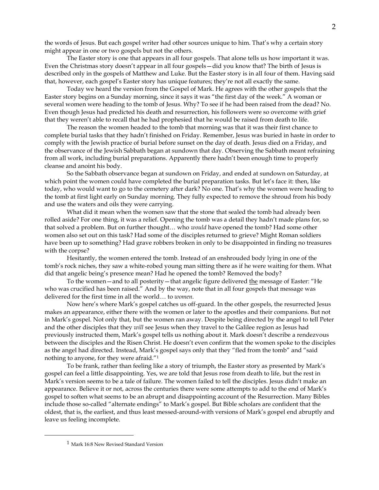the words of Jesus. But each gospel writer had other sources unique to him. That's why a certain story might appear in one or two gospels but not the others.

The Easter story is one that appears in all four gospels. That alone tells us how important it was. Even the Christmas story doesn't appear in all four gospels—did you know that? The birth of Jesus is described only in the gospels of Matthew and Luke. But the Easter story is in all four of them. Having said that, however, each gospel's Easter story has unique features; they're not all exactly the same.

Today we heard the version from the Gospel of Mark. He agrees with the other gospels that the Easter story begins on a Sunday morning, since it says it was "the first day of the week." A woman or several women were heading to the tomb of Jesus. Why? To see if he had been raised from the dead? No. Even though Jesus had predicted his death and resurrection, his followers were so overcome with grief that they weren't able to recall that he had prophesied that he would be raised from death to life.

The reason the women headed to the tomb that morning was that it was their first chance to complete burial tasks that they hadn't finished on Friday. Remember, Jesus was buried in haste in order to comply with the Jewish practice of burial before sunset on the day of death. Jesus died on a Friday, and the observance of the Jewish Sabbath began at sundown that day. Observing the Sabbath meant refraining from all work, including burial preparations. Apparently there hadn't been enough time to properly cleanse and anoint his body.

So the Sabbath observance began at sundown on Friday, and ended at sundown on Saturday, at which point the women could have completed the burial preparation tasks. But let's face it: then, like today, who would want to go to the cemetery after dark? No one. That's why the women were heading to the tomb at first light early on Sunday morning. They fully expected to remove the shroud from his body and use the waters and oils they were carrying.

What did it mean when the women saw that the stone that sealed the tomb had already been rolled aside? For one thing, it was a relief. Opening the tomb was a detail they hadn't made plans for, so that solved a problem. But on further thought… who *would* have opened the tomb? Had some other women also set out on this task? Had some of the disciples returned to grieve? Might Roman soldiers have been up to something? Had grave robbers broken in only to be disappointed in finding no treasures with the corpse?

Hesitantly, the women entered the tomb. Instead of an enshrouded body lying in one of the tomb's rock niches, they saw a white-robed young man sitting there as if he were waiting for them. What did that angelic being's presence mean? Had he opened the tomb? Removed the body?

To the women—and to all posterity—that angelic figure delivered the message of Easter: "He who was crucified has been raised." And by the way, note that in all four gospels that message was delivered for the first time in all the world… to *women*.

Now here's where Mark's gospel catches us off-guard. In the other gospels, the resurrected Jesus makes an appearance, either there with the women or later to the apostles and their companions. But not in Mark's gospel. Not only that, but the women ran away. Despite being directed by the angel to tell Peter and the other disciples that they *will* see Jesus when they travel to the Galilee region as Jesus had previously instructed them, Mark's gospel tells us nothing about it. Mark doesn't describe a rendezvous between the disciples and the Risen Christ. He doesn't even confirm that the women spoke to the disciples as the angel had directed. Instead, Mark's gospel says only that they "fled from the tomb" and "said nothing to anyone, for they were afraid."<sup>1</sup>

To be frank, rather than feeling like a story of triumph, the Easter story as presented by Mark's gospel can feel a little disappointing. Yes, we are told that Jesus rose from death to life, but the rest in Mark's version seems to be a tale of failure. The women failed to tell the disciples. Jesus didn't make an appearance. Believe it or not, across the centuries there were some attempts to add to the end of Mark's gospel to soften what seems to be an abrupt and disappointing account of the Resurrection. Many Bibles include those so-called "alternate endings" to Mark's gospel. But Bible scholars are confident that the oldest, that is, the earliest, and thus least messed-around-with versions of Mark's gospel end abruptly and leave us feeling incomplete.

 $\overline{a}$ 

<sup>&</sup>lt;sup>1</sup> Mark 16:8 New Revised Standard Version